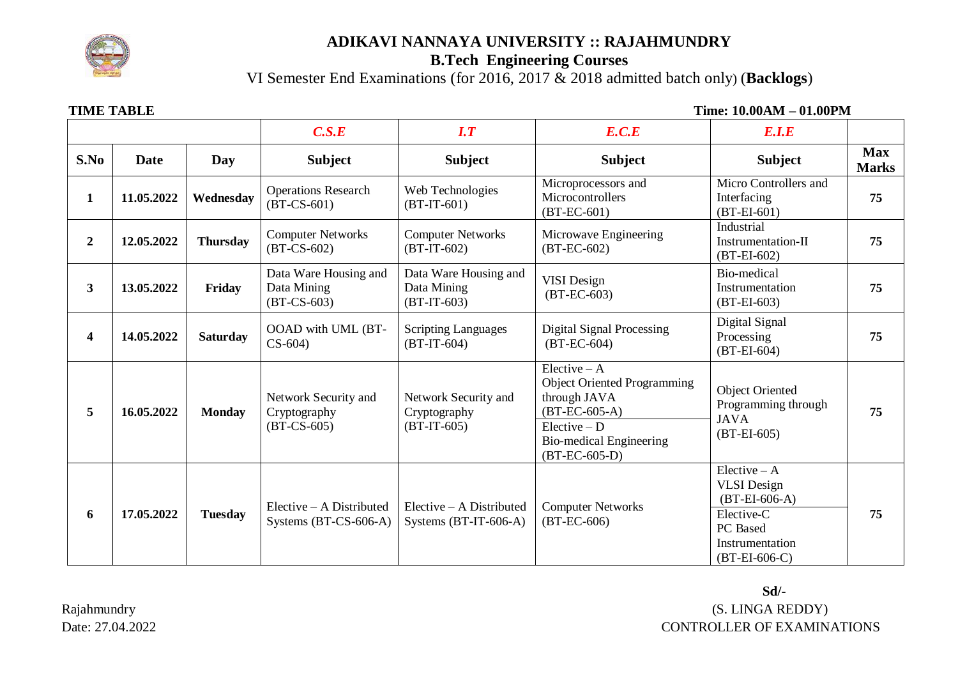

### **ADIKAVI NANNAYA UNIVERSITY :: RAJAHMUNDRY**

## **B.Tech Engineering Courses**

VI Semester End Examinations (for 2016, 2017 & 2018 admitted batch only) (**Backlogs**)

**TIME TABLE** THE TABLE TIME TABLE THE TABLE TIME TABLE THE TABLE THE TABLE THE TABLE THE TABLE THE TABLE THE TABLE THE TABLE THE TABLE THE TABLE THE TABLE THE TABLE THE TABLE THE TABLE THE TABLE THE TABLE THE TABLE THE TAB

|                  |            | C.S.E           | $\overline{I}$ . $\overline{T}$                       | E.C.E                                                 | E.I.E                                                                                                                                                          |                                                                                                                       |                            |
|------------------|------------|-----------------|-------------------------------------------------------|-------------------------------------------------------|----------------------------------------------------------------------------------------------------------------------------------------------------------------|-----------------------------------------------------------------------------------------------------------------------|----------------------------|
| S.No             | Date       | Day             | <b>Subject</b>                                        | <b>Subject</b>                                        | <b>Subject</b>                                                                                                                                                 | <b>Subject</b>                                                                                                        | <b>Max</b><br><b>Marks</b> |
| 1                | 11.05.2022 | Wednesday       | <b>Operations Research</b><br>$(BT-CS-601)$           | Web Technologies<br>$(BT-IT-601)$                     | Microprocessors and<br>Microcontrollers<br>$(BT-EC-601)$                                                                                                       | Micro Controllers and<br>Interfacing<br>$(BT-EI-601)$                                                                 | 75                         |
| $\boldsymbol{2}$ | 12.05.2022 | <b>Thursday</b> | <b>Computer Networks</b><br>$(BT-CS-602)$             | <b>Computer Networks</b><br>$(BT-IT-602)$             | Microwave Engineering<br>$(BT-EC-602)$                                                                                                                         | Industrial<br>Instrumentation-II<br>$(BT-EI-602)$                                                                     | 75                         |
| 3                | 13.05.2022 | Friday          | Data Ware Housing and<br>Data Mining<br>$(BT-CS-603)$ | Data Ware Housing and<br>Data Mining<br>$(BT-IT-603)$ | <b>VISI</b> Design<br>$(BT-EC-603)$                                                                                                                            | Bio-medical<br>Instrumentation<br>$(BT-EI-603)$                                                                       | 75                         |
| 4                | 14.05.2022 | <b>Saturday</b> | OOAD with UML (BT-<br>$CS-604$                        | <b>Scripting Languages</b><br>$(BT-IT-604)$           | <b>Digital Signal Processing</b><br>$(BT-EC-604)$                                                                                                              | Digital Signal<br>Processing<br>$(BT-EI-604)$                                                                         | 75                         |
| 5                | 16.05.2022 | <b>Monday</b>   | Network Security and<br>Cryptography<br>$(BT-CS-605)$ | Network Security and<br>Cryptography<br>$(BT-IT-605)$ | Elective $- A$<br><b>Object Oriented Programming</b><br>through JAVA<br>$(BT-EC-605-A)$<br>$Electric - D$<br><b>Bio-medical Engineering</b><br>$(BT-EC-605-D)$ | <b>Object Oriented</b><br>Programming through<br><b>JAVA</b><br>$(BT-EI-605)$                                         | 75                         |
| 6                | 17.05.2022 | <b>Tuesday</b>  | $Electric - A Distributed$<br>Systems (BT-CS-606-A)   | $Electric - A Distributed$<br>Systems (BT-IT-606-A)   | <b>Computer Networks</b><br>$(BT-EC-606)$                                                                                                                      | $Electric-A$<br><b>VLSI</b> Design<br>$(BT-EI-606-A)$<br>Elective-C<br>PC Based<br>Instrumentation<br>$(BT-EI-606-C)$ | 75                         |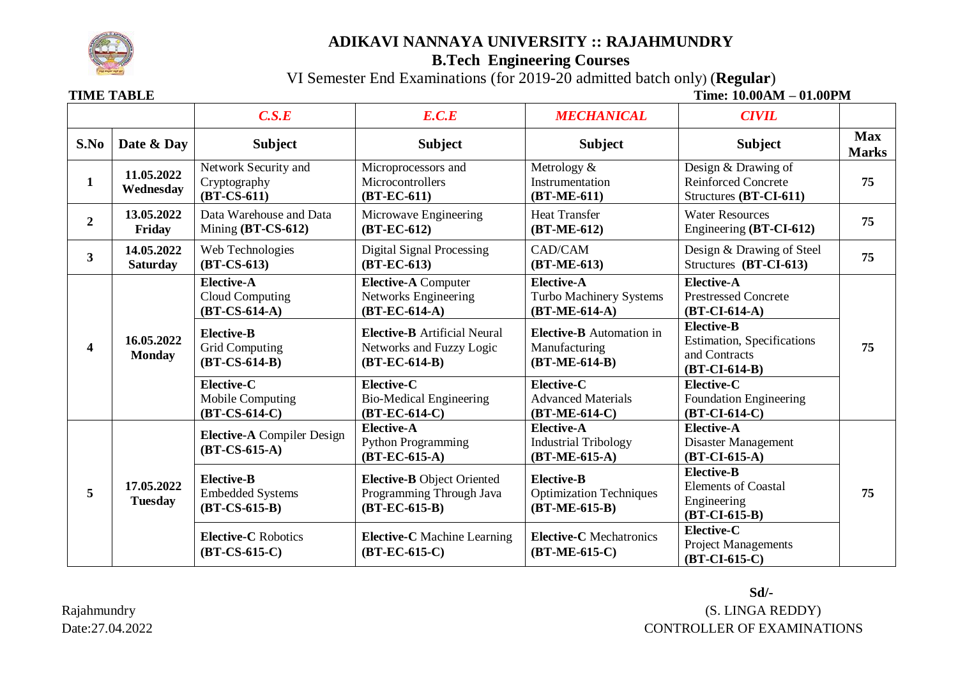

### **ADIKAVI NANNAYA UNIVERSITY :: RAJAHMUNDRY**

## **B.Tech Engineering Courses**

VI Semester End Examinations (for 2019-20 admitted batch only) (**Regular**)

**TIME TABLE** TABLE **TIME TABLE TIME TIME TIME TIME TIME TIME TIME TIME TIME TIME TIME** 

|                         |                               | C.S.E                                                                                                                           | E.C.E                                                                                                                                                       | <b>MECHANICAL</b>                                                                                                               | <b>CIVIL</b>                                                                                                                                                      |                                                                 |                                                            |
|-------------------------|-------------------------------|---------------------------------------------------------------------------------------------------------------------------------|-------------------------------------------------------------------------------------------------------------------------------------------------------------|---------------------------------------------------------------------------------------------------------------------------------|-------------------------------------------------------------------------------------------------------------------------------------------------------------------|-----------------------------------------------------------------|------------------------------------------------------------|
| S.No                    | Date & Day                    | <b>Subject</b>                                                                                                                  | <b>Subject</b>                                                                                                                                              | <b>Subject</b>                                                                                                                  | <b>Subject</b>                                                                                                                                                    | <b>Max</b><br><b>Marks</b>                                      |                                                            |
| $\mathbf{1}$            | 11.05.2022<br>Wednesday       | Network Security and<br>Cryptography<br>$(BT-CS-611)$                                                                           | Microprocessors and<br>Microcontrollers<br>$(BT-EC-611)$                                                                                                    | Metrology &<br>Instrumentation<br>$(BT-ME-611)$                                                                                 | Design $&$ Drawing of<br><b>Reinforced Concrete</b><br>Structures (BT-CI-611)                                                                                     | 75                                                              |                                                            |
| $\overline{2}$          | 13.05.2022<br>Friday          | Data Warehouse and Data<br>Mining $(BT-CS-612)$                                                                                 | Microwave Engineering<br>$(BT-EC-612)$                                                                                                                      | <b>Heat Transfer</b><br>$(BT-ME-612)$                                                                                           | <b>Water Resources</b><br>Engineering (BT-CI-612)                                                                                                                 | 75                                                              |                                                            |
| $\overline{\mathbf{3}}$ | 14.05.2022<br><b>Saturday</b> | Web Technologies<br>$(BT-CS-613)$                                                                                               | <b>Digital Signal Processing</b><br>$(BT-EC-613)$                                                                                                           | CAD/CAM<br>$(BT-ME-613)$                                                                                                        | Design & Drawing of Steel<br>Structures (BT-CI-613)                                                                                                               | 75                                                              |                                                            |
| 4                       | 16.05.2022<br><b>Monday</b>   | <b>Elective-A</b><br><b>Cloud Computing</b><br>$(BT-CS-614-A)$<br><b>Elective-B</b><br><b>Grid Computing</b><br>$(BT-CS-614-B)$ | <b>Elective-A Computer</b><br>Networks Engineering<br>$(BT-EC-614-A)$<br><b>Elective-B</b> Artificial Neural<br>Networks and Fuzzy Logic<br>$(BT-EC-614-B)$ | <b>Elective-A</b><br>Turbo Machinery Systems<br>$(BT-ME-614-A)$<br>Elective-B Automation in<br>Manufacturing<br>$(BT-ME-614-B)$ | <b>Elective-A</b><br><b>Prestressed Concrete</b><br>$(BT-CI-614-A)$<br><b>Elective-B</b><br><b>Estimation, Specifications</b><br>and Contracts<br>$(BT-CI-614-B)$ | 75                                                              |                                                            |
|                         |                               |                                                                                                                                 |                                                                                                                                                             |                                                                                                                                 | Elective-C<br>Mobile Computing<br>$(BT-CS-614-C)$                                                                                                                 | Elective-C<br><b>Bio-Medical Engineering</b><br>$(BT-EC-614-C)$ | Elective-C<br><b>Advanced Materials</b><br>$(BT-ME-614-C)$ |
| 5                       | 17.05.2022<br><b>Tuesday</b>  | <b>Elective-A</b> Compiler Design<br>$(BT-CS-615-A)$                                                                            | <b>Elective-A</b><br><b>Python Programming</b><br>$(BT-EC-615-A)$                                                                                           | <b>Elective-A</b><br><b>Industrial Tribology</b><br>$(BT-ME-615-A)$                                                             | <b>Elective-A</b><br>Disaster Management<br>$(BT-CI-615-A)$                                                                                                       |                                                                 |                                                            |
|                         |                               | <b>Elective-B</b><br><b>Embedded Systems</b><br>$(BT-CS-615-B)$                                                                 | Elective-B Object Oriented<br>Programming Through Java<br>$(BT-EC-615-B)$                                                                                   | <b>Elective-B</b><br><b>Optimization Techniques</b><br>$(BT-ME-615-B)$                                                          | <b>Elective-B</b><br><b>Elements of Coastal</b><br>Engineering<br>$(BT-CI-615-B)$                                                                                 | 75                                                              |                                                            |
|                         |                               |                                                                                                                                 | <b>Elective-C</b> Robotics<br>$(BT-CS-615-C)$                                                                                                               | <b>Elective-C</b> Machine Learning<br>$(BT-EC-615-C)$                                                                           | <b>Elective-C</b> Mechatronics<br>$(BT-ME-615-C)$                                                                                                                 | Elective-C<br><b>Project Managements</b><br>$(BT-CI-615-C)$     |                                                            |